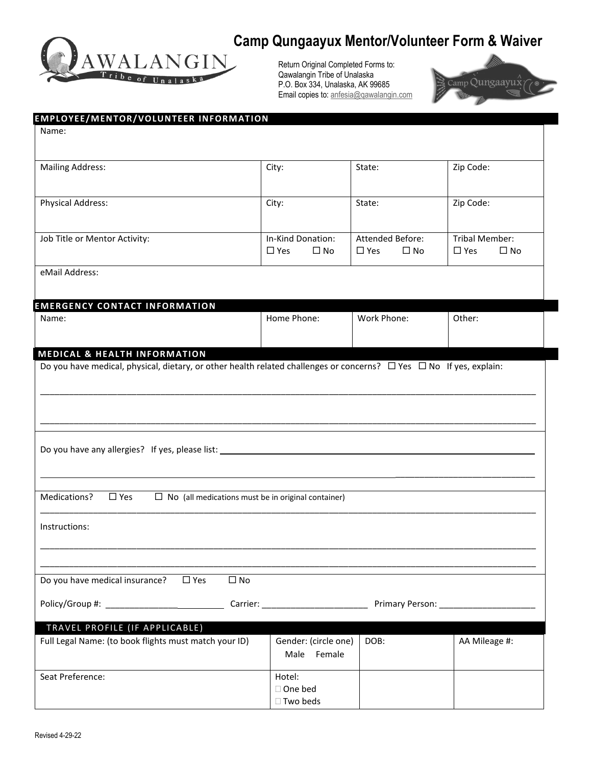

# **Camp Qungaayux Mentor/Volunteer Form & Waiver**

Return Original Completed Forms to: Qawalangin Tribe of Unalaska P.O. Box 334, Unalaska, AK 99685 Email copies to[: anfesia@qawalangin.com](mailto:anfesia@qawalangin.com)



| EMPLOYEE/MENTOR/VOLUNTEER INFORMATION                                                                                         |              |                                                           |                               |                            |
|-------------------------------------------------------------------------------------------------------------------------------|--------------|-----------------------------------------------------------|-------------------------------|----------------------------|
| Name:                                                                                                                         |              |                                                           |                               |                            |
| <b>Mailing Address:</b>                                                                                                       |              | City:                                                     | State:                        | Zip Code:                  |
|                                                                                                                               |              |                                                           |                               |                            |
| <b>Physical Address:</b>                                                                                                      |              | City:                                                     | State:                        | Zip Code:                  |
| Job Title or Mentor Activity:                                                                                                 |              | In-Kind Donation:                                         | Attended Before:              | Tribal Member:             |
|                                                                                                                               |              | $\square$ No<br>$\square$ Yes                             | $\square$ Yes<br>$\square$ No | $\square$ Yes<br>$\Box$ No |
| eMail Address:                                                                                                                |              |                                                           |                               |                            |
| <b>EMERGENCY CONTACT INFORMATION</b>                                                                                          |              |                                                           |                               |                            |
| Name:                                                                                                                         |              | Home Phone:                                               | Work Phone:                   | Other:                     |
|                                                                                                                               |              |                                                           |                               |                            |
| <b>MEDICAL &amp; HEALTH INFORMATION</b>                                                                                       |              |                                                           |                               |                            |
| Do you have medical, physical, dietary, or other health related challenges or concerns? $\Box$ Yes $\Box$ No If yes, explain: |              |                                                           |                               |                            |
|                                                                                                                               |              |                                                           |                               |                            |
|                                                                                                                               |              |                                                           |                               |                            |
|                                                                                                                               |              |                                                           |                               |                            |
|                                                                                                                               |              |                                                           |                               |                            |
|                                                                                                                               |              |                                                           |                               |                            |
|                                                                                                                               |              |                                                           |                               |                            |
| Medications?<br>$\square$ Yes                                                                                                 |              | $\Box$ No (all medications must be in original container) |                               |                            |
|                                                                                                                               |              |                                                           |                               |                            |
| Instructions:                                                                                                                 |              |                                                           |                               |                            |
|                                                                                                                               |              |                                                           |                               |                            |
|                                                                                                                               |              |                                                           |                               |                            |
| Do you have medical insurance?<br>$\square$ Yes                                                                               | $\square$ No |                                                           |                               |                            |
|                                                                                                                               |              |                                                           |                               |                            |
|                                                                                                                               |              |                                                           |                               |                            |
| TRAVEL PROFILE (IF APPLICABLE)<br>Full Legal Name: (to book flights must match your ID)                                       |              | Gender: (circle one)                                      | DOB:                          | AA Mileage #:              |
|                                                                                                                               |              | Male Female                                               |                               |                            |
| Seat Preference:                                                                                                              |              | Hotel:                                                    |                               |                            |
|                                                                                                                               |              | □ One bed<br>□ Two beds                                   |                               |                            |
|                                                                                                                               |              |                                                           |                               |                            |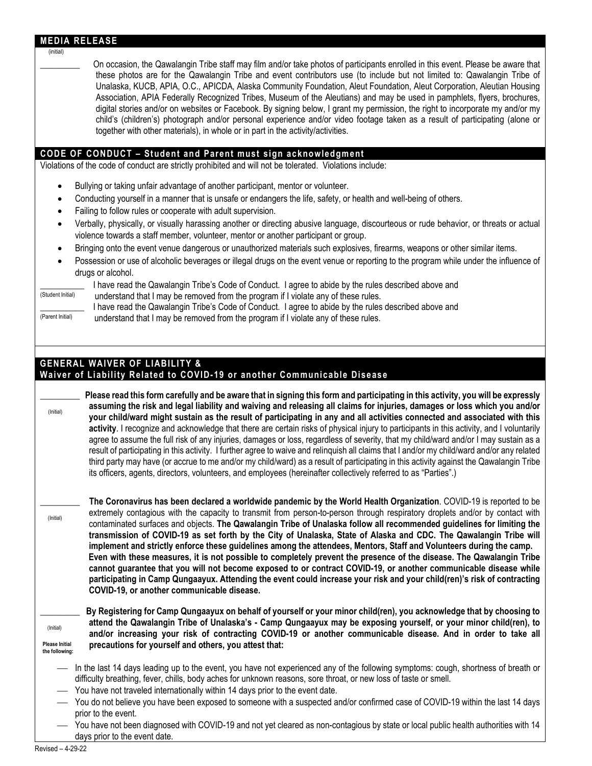#### **MEDIA RELEASE**

#### (initial)

\_\_\_\_\_\_\_\_\_ On occasion, the Qawalangin Tribe staff may film and/or take photos of participants enrolled in this event. Please be aware that these photos are for the Qawalangin Tribe and event contributors use (to include but not limited to: Qawalangin Tribe of Unalaska, KUCB, APIA, O.C., APICDA, Alaska Community Foundation, Aleut Foundation, Aleut Corporation, Aleutian Housing Association, APIA Federally Recognized Tribes, Museum of the Aleutians) and may be used in pamphlets, flyers, brochures, digital stories and/or on websites or Facebook. By signing below, I grant my permission, the right to incorporate my and/or my child's (children's) photograph and/or personal experience and/or video footage taken as a result of participating (alone or together with other materials), in whole or in part in the activity/activities.

### **CODE OF CONDUCT – Student and Parent must sign acknowledgment**

Violations of the code of conduct are strictly prohibited and will not be tolerated. Violations include:

- Bullying or taking unfair advantage of another participant, mentor or volunteer.
- Conducting yourself in a manner that is unsafe or endangers the life, safety, or health and well-being of others.
- Failing to follow rules or cooperate with adult supervision.
- Verbally, physically, or visually harassing another or directing abusive language, discourteous or rude behavior, or threats or actual violence towards a staff member, volunteer, mentor or another participant or group.
- Bringing onto the event venue dangerous or unauthorized materials such explosives, firearms, weapons or other similar items.
- Possession or use of alcoholic beverages or illegal drugs on the event venue or reporting to the program while under the influence of drugs or alcohol.

# $\frac{S_{\text{funder}}}{S_{\text{funder}} + S_{\text{funder}} + S_{\text{funder}} + S_{\text{funder}} + S_{\text{funder}} + S_{\text{funder}} + S_{\text{funder}} + S_{\text{funder}} + S_{\text{funder}} + S_{\text{funder}} + S_{\text{funder}} + S_{\text{funder}} + S_{\text{funder}} + S_{\text{funder}} + S_{\text{funder}} + S_{\text{funder}} + S_{\text{funder}} + S_{\text{funder}} + S_{\text{funder}} + S_{\text{funder}} + S_{\text{funder}} + S_{\text{funder}} + S_{\text{funder}} + S$

understand that I may be removed from the program if I violate any of these rules. I have read the Qawalangin Tribe's Code of Conduct. I agree to abide by the rules described above and

(Parent Initial) understand that I may be removed from the program if I violate any of these rules.

## **GENERAL WAIVER OF LIABILITY &**

### **Waiver of Liability Related to COVID-19 or another Communicable Disease**

\_\_\_\_\_\_\_\_\_ **Please read this form carefully and be aware that in signing this form and participating in this activity, you will be expressly assuming the risk and legal liability and waiving and releasing all claims for injuries, damages or loss which you and/or your child/ward might sustain as the result of participating in any and all activities connected and associated with this activity**. I recognize and acknowledge that there are certain risks of physical injury to participants in this activity, and I voluntarily agree to assume the full risk of any injuries, damages or loss, regardless of severity, that my child/ward and/or I may sustain as a result of participating in this activity. I further agree to waive and relinquish all claims that I and/or my child/ward and/or any related third party may have (or accrue to me and/or my child/ward) as a result of participating in this activity against the Qawalangin Tribe its officers, agents, directors, volunteers, and employees (hereinafter collectively referred to as "Parties".) (Initial)

\_\_\_\_\_\_\_\_\_ **The Coronavirus has been declared a worldwide pandemic by the World Health Organization**. COVID-19 is reported to be extremely contagious with the capacity to transmit from person-to-person through respiratory droplets and/or by contact with contaminated surfaces and objects. **The Qawalangin Tribe of Unalaska follow all recommended guidelines for limiting the transmission of COVID-19 as set forth by the City of Unalaska, State of Alaska and CDC. The Qawalangin Tribe will implement and strictly enforce these guidelines among the attendees, Mentors, Staff and Volunteers during the camp. Even with these measures, it is not possible to completely prevent the presence of the disease. The Qawalangin Tribe cannot guarantee that you will not become exposed to or contract COVID-19, or another communicable disease while participating in Camp Qungaayux. Attending the event could increase your risk and your child(ren)'s risk of contracting COVID-19, or another communicable disease.**

(Initial) **Please Initial** 

**the following:**

(Initial)

\_\_\_\_\_\_\_\_\_ **By Registering for Camp Qungaayux on behalf of yourself or your minor child(ren), you acknowledge that by choosing to attend the Qawalangin Tribe of Unalaska's - Camp Qungaayux may be exposing yourself, or your minor child(ren), to and/or increasing your risk of contracting COVID-19 or another communicable disease. And in order to take all precautions for yourself and others, you attest that:**

- In the last 14 days leading up to the event, you have not experienced any of the following symptoms: cough, shortness of breath or difficulty breathing, fever, chills, body aches for unknown reasons, sore throat, or new loss of taste or smell.
- You have not traveled internationally within 14 days prior to the event date.
- You do not believe you have been exposed to someone with a suspected and/or confirmed case of COVID-19 within the last 14 days prior to the event.
- You have not been diagnosed with COVID-19 and not yet cleared as non-contagious by state or local public health authorities with 14 days prior to the event date.